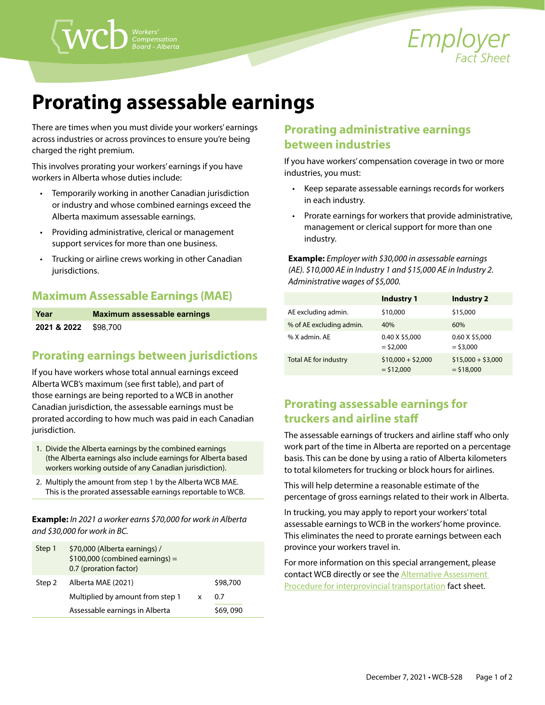

# **Prorating assessable earnings**

There are times when you must divide your workers' earnings across industries or across provinces to ensure you're being charged the right premium.

This involves prorating your workers' earnings if you have workers in Alberta whose duties include:

- Temporarily working in another Canadian jurisdiction or industry and whose combined earnings exceed the Alberta maximum assessable earnings.
- Providing administrative, clerical or management support services for more than one business.
- Trucking or airline crews working in other Canadian jurisdictions.

#### **Maximum Assessable Earnings (MAE)**

| Year                            | Maximum assessable earnings |
|---------------------------------|-----------------------------|
| <b>2021 &amp; 2022</b> \$98.700 |                             |

### **Prorating earnings between jurisdictions**

If you have workers whose total annual earnings exceed Alberta WCB's maximum (see first table), and part of those earnings are being reported to a WCB in another Canadian jurisdiction, the assessable earnings must be prorated according to how much was paid in each Canadian jurisdiction.

- 1. Divide the Alberta earnings by the combined earnings (the Alberta earnings also include earnings for Alberta based workers working outside of any Canadian jurisdiction).
- 2. Multiply the amount from step 1 by the Alberta WCB MAE. This is the prorated assessable earnings reportable to WCB.

**Example:** *In 2021 a worker earns \$70,000 for work in Alberta and \$30,000 for work in BC.*

| Step 1 | \$70,000 (Alberta earnings) /<br>$$100,000$ (combined earnings) =<br>0.7 (proration factor) |   |          |
|--------|---------------------------------------------------------------------------------------------|---|----------|
| Step 2 | Alberta MAE (2021)                                                                          |   | \$98,700 |
|        | Multiplied by amount from step 1                                                            | x | 07       |
|        | Assessable earnings in Alberta                                                              |   | S69,090  |

## **Prorating administrative earnings between industries**

If you have workers' compensation coverage in two or more industries, you must:

- Keep separate assessable earnings records for workers in each industry.
- Prorate earnings for workers that provide administrative, management or clerical support for more than one industry.

**Example:** *Employer with \$30,000 in assessable earnings (AE). \$10,000 AE in Industry 1 and \$15,000 AE in Industry 2. Administrative wages of \$5,000.* 

|                          | Industry 1                         | <b>Industry 2</b>                  |
|--------------------------|------------------------------------|------------------------------------|
| AE excluding admin.      | \$10,000                           | \$15,000                           |
| % of AE excluding admin. | 40%                                | 60%                                |
| % X admin, AE            | 0.40 X \$5,000<br>$=$ \$2,000      | 0.60 X \$5,000<br>$=$ \$3,000      |
| Total AE for industry    | $$10,000 + $2,000$<br>$=$ \$12,000 | $$15,000 + $3,000$<br>$=$ \$18,000 |

# **Prorating assessable earnings for truckers and airline staff**

The assessable earnings of truckers and airline staff who only work part of the time in Alberta are reported on a percentage basis. This can be done by using a ratio of Alberta kilometers to total kilometers for trucking or block hours for airlines.

This will help determine a reasonable estimate of the percentage of gross earnings related to their work in Alberta.

In trucking, you may apply to report your workers' total assessable earnings to WCB in the workers' home province. This eliminates the need to prorate earnings between each province your workers travel in.

For more information on this special arrangement, please contact WCB directly or see the **Alternative Assessment** [Procedure for interprovincial transportation](https://www.wcb.ab.ca/assets/pdfs/employers/EFS_AAP_Interprovincial_Transportation.pdf) fact sheet.